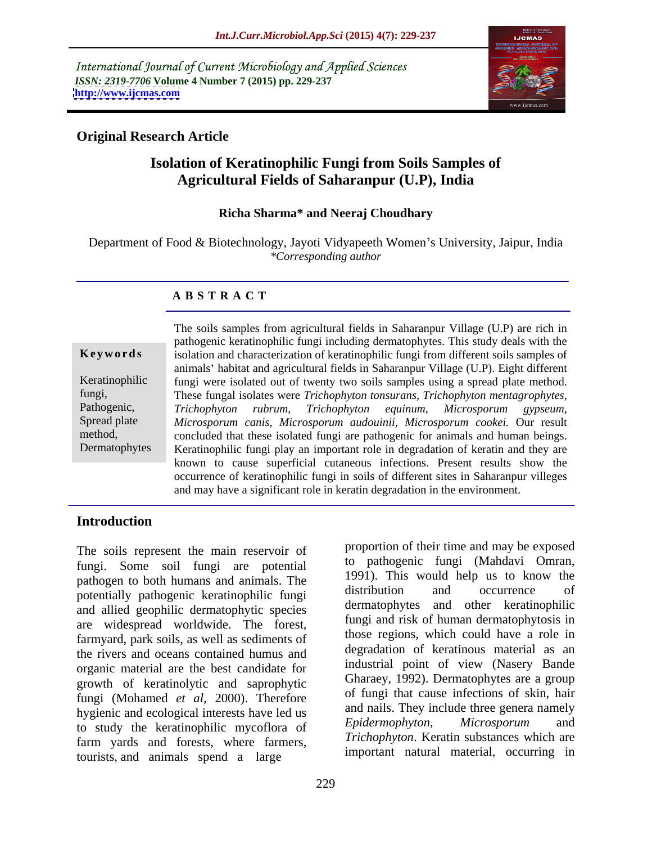International Journal of Current Microbiology and Applied Sciences *ISSN: 2319-7706* **Volume 4 Number 7 (2015) pp. 229-237 <http://www.ijcmas.com>**



### **Original Research Article**

# **Isolation of Keratinophilic Fungi from Soils Samples of Agricultural Fields of Saharanpur (U.P), India**

### **Richa Sharma\* and Neeraj Choudhary**

Department of Food & Biotechnology, Jayoti Vidyapeeth Women's University, Jaipur, India *\*Corresponding author*

### **A B S T R A C T**

Dermatophytes

The soils samples from agricultural fields in Saharanpur Village (U.P) are rich in pathogenic keratinophilic fungi including dermatophytes. This study deals with the **Keywords** isolation and characterization of keratinophilic fungi from different soils samples of animals' habitat and agricultural fields in Saharanpur Village (U.P). Eight different Keratinophilic fungi were isolated out of twenty two soils samples using a spread plate method. These fungal isolates were *Trichophyton tonsurans, Trichophyton mentagrophytes,* fungi, *Trichophyton rubrum, Trichophyton equinum, Microsporum gypseum, Microsporum canis, Microsporum audouinii, Microsporum cookei.* Our result Spread plate method, concluded that these isolated fungi are pathogenic for animals and human beings. Keratinophilic fungi play an important role in degradation of keratin and they are known to cause superficial cutaneous infections. Present results show the occurrence of keratinophilic fungi in soils of different sites in Saharanpur villeges and may have a significant role in keratin degradation in the environment. Pathogenic, Trichophyton rubrum, Trichophyton equinum, Microsporum gypseum,

## **Introduction**

The soils represent the main reservoir of fungi. Some soil fungi are potential pathogen to both humans and animals. The 1991). This would help us to know the patentially pathogenic lighting function of the distribution and occurrence of potentially pathogenic keratinophilic fungi and allied geophilic dermatophytic species are widespread worldwide. The forest, farmyard, park soils, as well as sediments of the rivers and oceans contained humus and organic material are the best candidate for growth of keratinolytic and saprophytic fungi (Mohamed *et al*, 2000). Therefore hygienic and ecological interests have led us and halls. They include three genera namely<br>to study the karetinophilic myseflore of Epidermophyton, Microsporum and to study the keratinophilic mycoflora of farm yards and forests, where farmers, tourists, and animals spend a large

proportion of their time and may be exposed to pathogenic fungi (Mahdavi Omran, 1991). This would help us to know the distribution and occurrence of dermatophytes and other keratinophilic fungi and risk of human dermatophytosis in those regions, which could have a role in degradation of keratinous material as an industrial point of view (Nasery Bande Gharaey, 1992). Dermatophytes are a group of fungi that cause infections of skin, hair and nails. They include three genera namely *Epidermophyton*, *Microsporum* and *Trichophyton*. Keratin substances which are important natural material, occurring in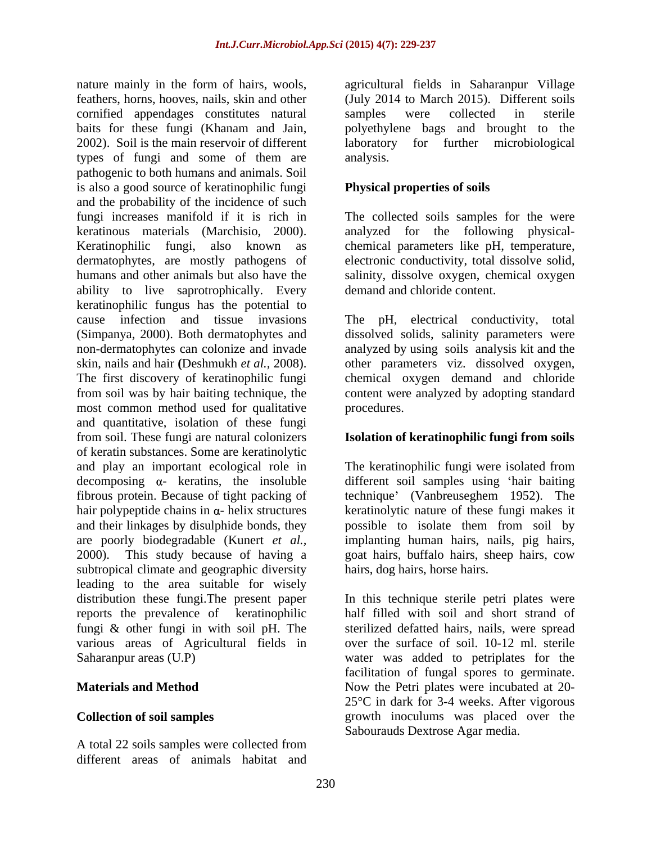nature mainly in the form of hairs, wools, agricultural fields in Saharanpur Village feathers, horns, hooves, nails, skin and other (July 2014 to March 2015). Different soils cornified appendages constitutes natural baits for these fungi (Khanam and Jain, polyethylene bags and brought to the 2002). Soil is the main reservoir of different laboratory for further microbiological types of fungi and some of them are pathogenic to both humans and animals. Soil is also a good source of keratinophilic fungi and the probability of the incidence of such fungi increases manifold if it is rich in The collected soils samples for the were keratinous materials (Marchisio, 2000). analyzed for the following physical- Keratinophilic fungi, also known as chemical parameters like pH, temperature, dermatophytes, are mostly pathogens of electronic conductivity, total dissolve solid, humans and other animals but also have the salinity, dissolve oxygen, chemical oxygen ability to live saprotrophically. Every keratinophilic fungus has the potential to cause infection and tissue invasions The pH, electrical conductivity, total (Simpanya, 2000). Both dermatophytes and dissolved solids, salinity parameters were non-dermatophytes can colonize and invade analyzed by using soils analysis kit and the skin, nails and hair **(**Deshmukh *et al.,* 2008). other parameters viz. dissolved oxygen, The first discovery of keratinophilic fungi chemical oxygen demand and chloride from soil was by hair baiting technique, the content were analyzed by adopting standard most common method used for qualitative procedures. and quantitative, isolation of these fungi from soil. These fungi are natural colonizers **Isolation of keratinophilic fungi from soils** of keratin substances. Some are keratinolytic and play an important ecological role in The keratinophilic fungi were isolated from  $decomposing$   $\alpha$ - keratins, the insoluble different soil samples using 'hair baiting fibrous protein. Because of tight packing of hair polypeptide chains in  $\alpha$ -helix structures hair polypeptide chains in  $\alpha$ - helix structures beratinolytic nature of these fungi makes it and their linkages by disulphide bonds, they possible to isolate them from soil by are poorly biodegradable (Kunert *et al.,* implanting human hairs, nails, pig hairs, 2000). This study because of having a goat hairs, buffalo hairs, sheep hairs, cow subtropical climate and geographic diversity leading to the area suitable for wisely distribution these fungi.The present paper In this technique sterile petri plates were reports the prevalence of keratinophilic<br>fungi & other fungi in with soil pH. The fungi & other fungi in with soil pH. The sterilized defatted hairs, nails, were spread various areas of Agricultural fields in over the surface of soil. 10-12 ml. sterile Saharanpur areas (U.P)

A total 22 soils samples were collected from different areas of animals habitat and

samples were collected in sterile analysis.

## **Physical properties of soils**

demand and chloride content.

procedures.

technique' (Vanbreuseghem 1952). The hairs, dog hairs, horse hairs.

**Materials and Method** Now the Petri plates were incubated at 20-**Collection of soil samples** growth inoculums was placed over the half filled with soil and short strand of water was added to petriplates for the facilitation of fungal spores to germinate. 25°C in dark for 3-4 weeks. After vigorous Sabourauds Dextrose Agar media.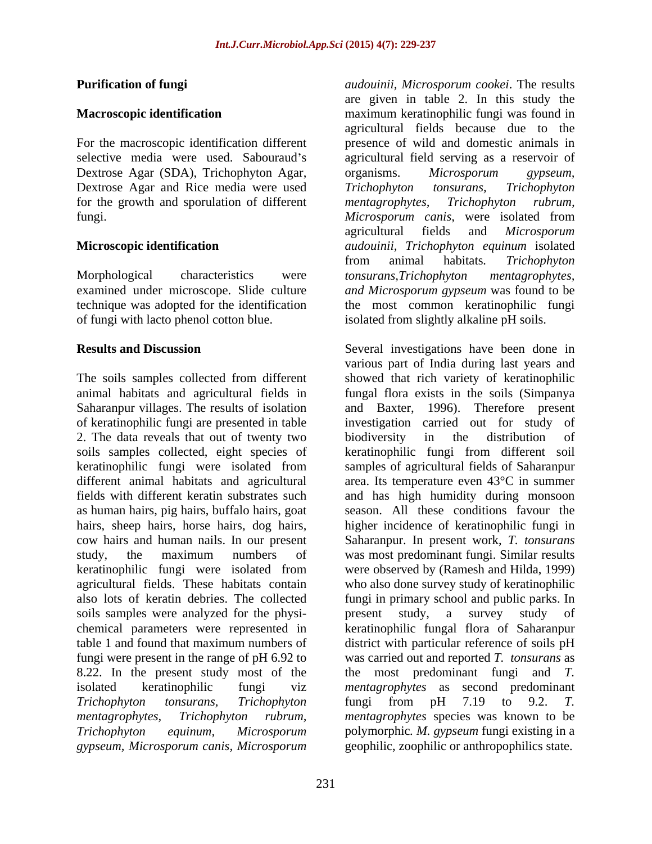Dextrose Agar (SDA), Trichophyton Agar, organisms. Microsporum gypseum, Dextrose Agar and Rice media were used Trichophyton tonsurans, Trichophyton for the growth and sporulation of different mentagrophytes, Trichophyton rubrum,

of fungi with lacto phenol cotton blue. isolated from slightly alkaline pH soils.

Saharanpur villages. The results of isolation of keratinophilic fungi are presented in table 2. The data reveals that out of twenty two biodiversity in the distribution of keratinophilic fungi were isolated from soils samples were analyzed for the physi-<br>present study, a survey study of *gypseum, Microsporum canis, Microsporum*

**Purification of fungi** *audouinii, Microsporum cookei*. The results **Macroscopic identification maximum keratinophilic fungi was found in** For the macroscopic identification different presence of wild and domestic animals in selective media were used. Sabouraud's agricultural field serving as a reservoir of fungi. *Microsporum canis,* were isolated from **Microscopic identification** *audouinii, Trichophyton equinum* isolated Morphological characteristics were *tonsurans, Trichophyton mentagrophytes*, examined under microscope. Slide culture *and Microsporum gypseum* was found to be technique was adopted for the identification the most common keratinophilic fungi are given in table 2. In this study the agricultural fields because due to the organisms. *Microsporum gypseum, Trichophyton tonsurans, Trichophyton mentagrophytes, Trichophyton rubrum,* agricultural fields and *Microsporum*  from animal habitats*. Trichophyton tonsurans,Trichophyton mentagrophytes,*

**Results and Discussion** Several investigations have been done in The soils samples collected from different showed that rich variety of keratinophilic animal habitats and agricultural fields in fungal flora exists in the soils (Simpanya soils samples collected, eight species of keratinophilic fungi from different soil keratinophilic fungi were isolated from samples of agricultural fields of Saharanpur different animal habitats and agricultural area. Its temperature even 43°C in summer fields with different keratin substrates such and has high humidity during monsoon as human hairs, pig hairs, buffalo hairs, goat season. All these conditions favour the hairs, sheep hairs, horse hairs, dog hairs, higher incidence of keratinophilic fungi in cow hairs and human nails. In our present Saharanpur. In present work, *T. tonsurans* study, the maximum numbers of was most predominant fungi. Similar results agricultural fields. These habitats contain who also done survey study of keratinophilic also lots of keratin debries. The collected fungi in primary school and public parks. In chemical parameters were represented in keratinophilic fungal flora of Saharanpur table 1 and found that maximum numbers of district with particular reference of soils pH fungi were present in the range of pH 6.92 to was carried out and reported *T. tonsurans* as 8.22. In the present study most of the the most predominant fungi and *T.*  isolated keratinophilic fungi viz *mentagrophytes* as second predominant *Trichophyton tonsurans, Trichophyton mentagrophytes, Trichophyton rubrum, mentagrophytes* species was known to be *Trichophyton equinum, Microsporum* polymorphic*. M. gypseum* fungi existing in a various part of India during last years and and Baxter, 1996). Therefore present investigation carried out for study biodiversity in the distribution of were observed by (Ramesh and Hilda, 1999) present study, a survey study of fungi from pH 7.19 to 9.2. *T.* geophilic, zoophilic or anthropophilics state.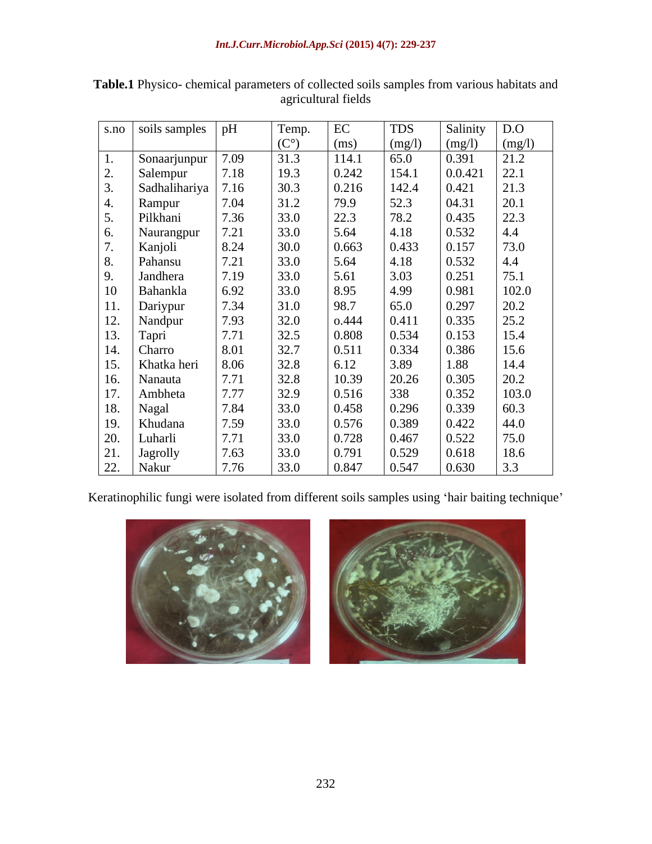|                          | s.no soils samples                                                                                                                                                                            | pH                                                                          | Temp.            | EC              | TDS                                                                                            | Salinity                                             | $\vert$ D.O                                          |
|--------------------------|-----------------------------------------------------------------------------------------------------------------------------------------------------------------------------------------------|-----------------------------------------------------------------------------|------------------|-----------------|------------------------------------------------------------------------------------------------|------------------------------------------------------|------------------------------------------------------|
|                          |                                                                                                                                                                                               |                                                                             | $(C^{\circ})$    | (ms)            |                                                                                                |                                                      |                                                      |
|                          | Sonaarjunpur                                                                                                                                                                                  | 7.09                                                                        | 31.3             | 114.1           | $\frac{\text{(mg/l)}}{\text{65.0}}$<br>154.1                                                   | $\frac{(mg/l)}{0.391}$                               | $\frac{\text{(mg/l)}}{21.2}$<br>22.1                 |
| <u>، ،</u>               | Salempur                                                                                                                                                                                      | 7.18                                                                        | 19.3             | 0.242           |                                                                                                | 0.0.421                                              |                                                      |
|                          | Sadhalihariya                                                                                                                                                                                 | 7.16                                                                        | 30.3             | $0.216$<br>79.9 | $\begin{array}{c} 142.4 \\ 52.3 \\ 78.2 \end{array}$                                           | 0.421                                                | $\begin{array}{ c} 21.3 \\ 20.1 \end{array}$         |
|                          |                                                                                                                                                                                               | $7.04$<br>$7.36$<br>$7.21$                                                  | 31.2             |                 |                                                                                                | 04.31                                                |                                                      |
| 5.                       | Rampur<br>Pilkhani                                                                                                                                                                            |                                                                             | 33.0             | 22.3            |                                                                                                | 0.435                                                | 22.3                                                 |
| 6.                       | Naurangpur                                                                                                                                                                                    |                                                                             | 33.0             | 5.64            | 4.18                                                                                           | 0.532                                                | 4.4                                                  |
| $\overline{\phantom{a}}$ | Kanjoli<br>Pahansu                                                                                                                                                                            |                                                                             | 30.0             | 0.663           | $\begin{array}{ c} 0.433 \\ 4.18 \end{array}$                                                  | 0.157                                                | 73.0                                                 |
| 8.                       |                                                                                                                                                                                               |                                                                             | 33.0             | 5.64            |                                                                                                | 0.532                                                | 4.4                                                  |
| 9.                       | Jandhera                                                                                                                                                                                      |                                                                             | 33.0             | 5.61            |                                                                                                |                                                      | 75.1                                                 |
|                          | Bahankla                                                                                                                                                                                      | $\begin{array}{ l}8.24\\7.21\\7.19\\6.92\end{array}$                        | 33.0             | 8.95            |                                                                                                |                                                      |                                                      |
|                          | Dariypur<br>Nandpur<br>Tapri<br>Charro<br>Khatka heri                                                                                                                                         | $\begin{array}{r} 0.52 \\ 7.34 \\ 7.93 \\ 7.71 \\ 8.01 \\ 8.06 \end{array}$ | 31.0             | 98.7            | $\begin{array}{c} 0.13 \\ 3.03 \\ 4.99 \\ 65.0 \\ 0.411 \\ 0.534 \\ 0.334 \\ 0.88 \end{array}$ | $0.251$<br>0.981<br>0.981<br>0.335<br>0.153<br>0.386 | $\begin{array}{c} 102.0 \\ 20.2 \\ 25.2 \end{array}$ |
|                          |                                                                                                                                                                                               |                                                                             | 32.0             | 0.444           |                                                                                                |                                                      |                                                      |
|                          |                                                                                                                                                                                               |                                                                             |                  | 0.808           |                                                                                                |                                                      | 15.4                                                 |
|                          |                                                                                                                                                                                               |                                                                             | $32.5$<br>$32.7$ | 0.511           |                                                                                                |                                                      | 15.6                                                 |
|                          |                                                                                                                                                                                               |                                                                             | 32.8             | 6.12            |                                                                                                |                                                      | 14.4                                                 |
|                          |                                                                                                                                                                                               |                                                                             | 32.8             | 10.39           | 3.89<br>20.26<br>338                                                                           | $\begin{array}{ c} 1.88 \\ 0.305 \end{array}$        | $20.2\,$                                             |
|                          | Ambheta                                                                                                                                                                                       | $7.71$<br>$7.77$                                                            | 32.9             | $0.516\,$       |                                                                                                |                                                      | 103.0                                                |
|                          |                                                                                                                                                                                               | 7.84                                                                        | 33.0             | 0.458           |                                                                                                | $\begin{array}{ l} 0.352 \\ 0.339 \end{array}$       | 60.3                                                 |
|                          |                                                                                                                                                                                               |                                                                             | 33.0             | $0.576\,$       | $\begin{array}{ l} 0.296 \\ 0.389 \end{array}$                                                 | 0.422                                                | 44.0                                                 |
|                          |                                                                                                                                                                                               | $\begin{array}{r} 7.59 \\ 7.71 \\ 7.63 \end{array}$                         | 33.0             | 0.728           | 0.467                                                                                          | 0.522                                                | 75.0                                                 |
|                          |                                                                                                                                                                                               |                                                                             | 33.0             | 0.791           | 0.529                                                                                          | 0.618                                                | 18.6                                                 |
|                          | 9. Jandhera<br>10 Bahankla<br>11. Dariypur<br>12. Nandpur<br>13. Tapri<br>14. Charro<br>15. Khatka h<br>16. Nanauta<br>17. Ambheta<br>20. Luharli<br>20. Luharli<br>21. Jagrolly<br>22. Nakur | 7.76                                                                        | 33.0             | 0.847           | 0.547                                                                                          | 0.630                                                | $\vert 3.3 \vert$                                    |

**Table.1** Physico- chemical parameters of collected soils samples from various habitats and agricultural fields

Keratinophilic fungi were isolated from different soils samples using 'hair baiting technique'

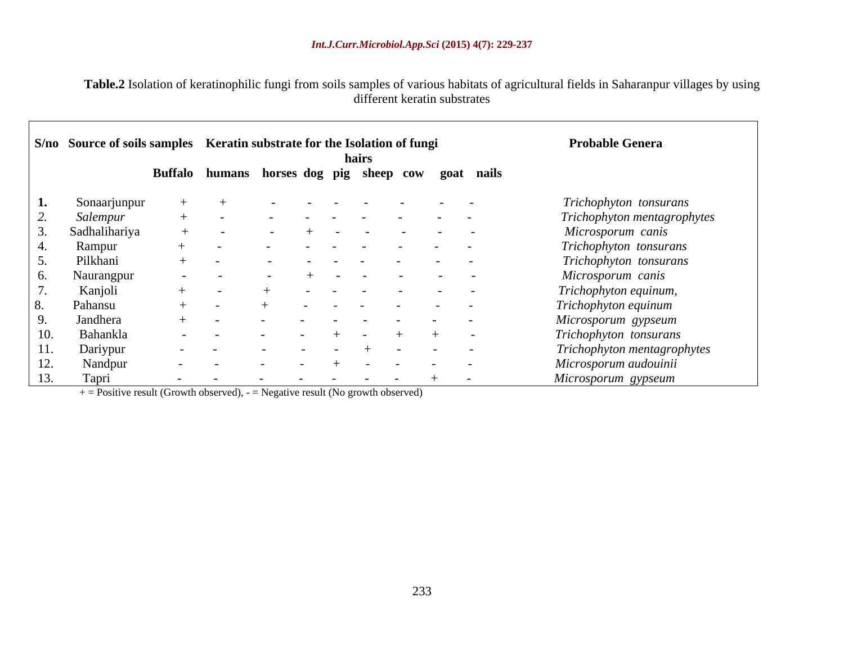**Table.2** Isolation of keratinophilic fungi from soils samples of various habitats of agricultural fields in Saharanpur villages by using different keratin substrates

|     | S/no Source of soils samples Keratin substrate for the Isolation of fungi |                                         |            |               |                                                                                                                                                                                                                               |                      | hairs                |                                     |            |     |                                   |            | <b>Probable Genera</b>      |
|-----|---------------------------------------------------------------------------|-----------------------------------------|------------|---------------|-------------------------------------------------------------------------------------------------------------------------------------------------------------------------------------------------------------------------------|----------------------|----------------------|-------------------------------------|------------|-----|-----------------------------------|------------|-----------------------------|
|     |                                                                           | Buffalo humans horses dog pig sheep cow |            |               |                                                                                                                                                                                                                               |                      |                      |                                     |            |     |                                   | goat nails |                             |
|     | Sonaarjunpur                                                              |                                         |            |               |                                                                                                                                                                                                                               | $\sim$               |                      |                                     |            |     |                                   |            | Trichophyton tonsurans      |
|     | Salempur                                                                  |                                         |            |               |                                                                                                                                                                                                                               |                      | $\sim$ $-$           |                                     |            |     | and the state of the state of the |            | Trichophyton mentagrophytes |
|     | Sadhalihariya                                                             |                                         |            |               |                                                                                                                                                                                                                               |                      |                      |                                     | $\sim$ $-$ |     | and the state of the state of the | $\sim$ $-$ | Microsporum canis           |
|     | Rampur                                                                    |                                         |            | $\sim$ $\sim$ |                                                                                                                                                                                                                               | $\sim$ $\sim$ $\sim$ |                      | and the contract of the contract of |            |     |                                   |            | Trichophyton tonsurans      |
|     | Pilkhani                                                                  | $\sim$ $-$                              |            |               |                                                                                                                                                                                                                               | $\sim$ $\sim$        | $\sim$ $\sim$ $\sim$ | $\sim$ 100 $-$ 100 $-$              |            |     | the company of the company of the |            | Trichophyton tonsurans      |
| O.  | Naurangpur                                                                |                                         |            |               |                                                                                                                                                                                                                               | $\sim$ $\sim$        | $\sim$ $-$           | $\sim$ $-$                          |            |     |                                   |            | Microsporum canis           |
|     | Kanjoli                                                                   |                                         |            |               |                                                                                                                                                                                                                               | $\sim$ $-$           | $\sim$ $-$           |                                     | $\sim$ $-$ |     | the company of the company of the |            | Trichophyton equinum,       |
|     | Pahansu                                                                   |                                         |            |               |                                                                                                                                                                                                                               |                      |                      | the contract of the contract of the |            |     | the company of the company of the |            | Trichophyton equinum        |
|     | Jandhera                                                                  |                                         |            | $\sim$        |                                                                                                                                                                                                                               | $\sim$ $-$           |                      | and the contract of the contract of |            |     | the company of the company of     |            | Microsporum gypseum         |
| 10. | Bahankla                                                                  |                                         |            |               |                                                                                                                                                                                                                               |                      |                      |                                     |            |     |                                   |            | Trichophyton tonsurans      |
| 11. | Dariypur                                                                  |                                         |            | $\sim$ $-$    |                                                                                                                                                                                                                               | $\sim$               |                      |                                     |            |     |                                   |            | Trichophyton mentagrophytes |
| 12. | Nandpur                                                                   |                                         |            | $\sim$        |                                                                                                                                                                                                                               |                      |                      | $\sim$ $\sim$                       |            |     |                                   |            | Microsporum audouinii       |
| 13. | Tapri                                                                     | $\sim$ $-$                              | $\sim$ $-$ |               | the company of the company of the company of the company of the company of the company of the company of the company of the company of the company of the company of the company of the company of the company of the company |                      |                      |                                     |            | $+$ | $\sim$ $-$                        |            | Microsporum gypseum         |

 $+$  = Positive result (Growth observed), - = Negative result (No growth observed)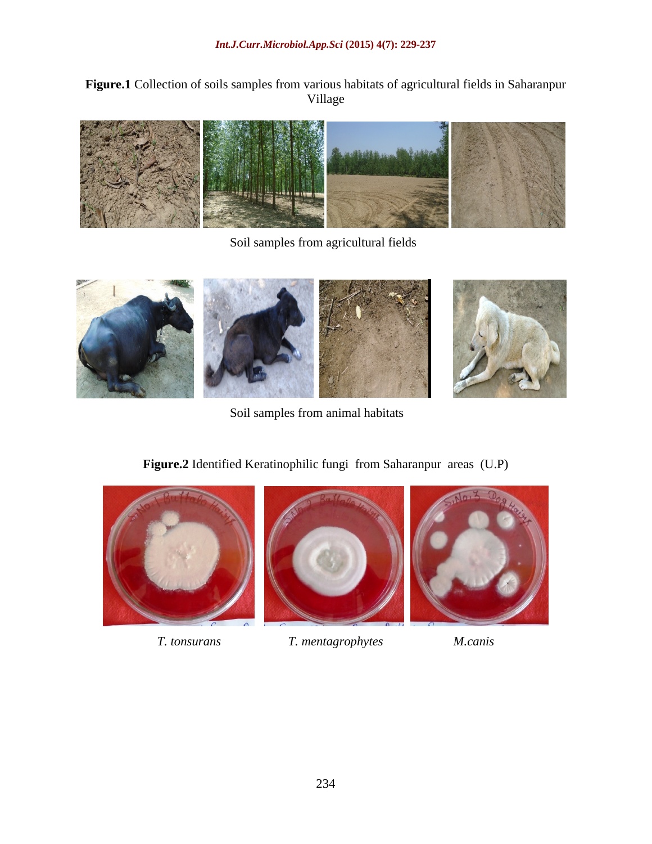**Figure.1** Collection of soils samples from various habitats of agricultural fields in Saharanpur Village



Soil samples from agricultural fields



Soil samples from animal habitats

# **Figure.2** Identified Keratinophilic fungi from Saharanpur areas (U.P)



*T. tonsurans T. mentagrophytes M.canis*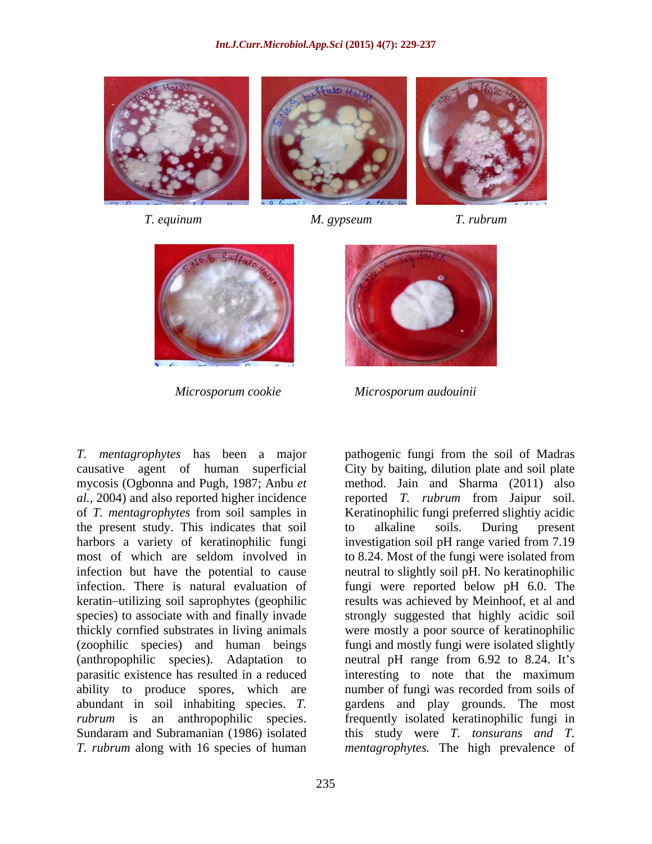







*T. mentagrophytes* has been a major pathogenic fungi from the soil of Madras causative agent of human superficial the present study. This indicates that soil to alkaline soils. During present harbors a variety of keratinophilic fungi infection but have the potential to cause

mycosis (Ogbonna and Pugh, 1987; Anbu *et*  method. Jain and Sharma (2011) also *al.,* 2004) and also reported higher incidence reported *T. rubrum* from Jaipur soil. of *T. mentagrophytes* from soil samples in Keratinophilic fungi preferred slightiy acidic most of which are seldom involved in to 8.24. Most of the fungi were isolated from infection. There is natural evaluation of fungi were reported below pH 6.0. The keratin utilizing soil saprophytes (geophilic results was achieved by Meinhoof, et al and species) to associate with and finally invade strongly suggested that highly acidic soil thickly cornfied substrates in living animals were mostly a poor source of keratinophilic (zoophilic species) and human beings fungi and mostly fungi were isolated slightly (anthropophilic species). Adaptation to neutral pH range from 6.92 to 8.24. It's parasitic existence has resulted in a reduced interesting to note that the maximum ability to produce spores, which are number of fungi was recorded from soils of abundant in soil inhabiting species. *T*. gardens and play grounds. The most *rubrum* is an anthropophilic species. frequently isolated keratinophilic fungi in Sundaram and Subramanian (1986) isolated this study were *T. tonsurans and T. T. rubrum* along with 16 species of human *mentagrophytes.* The high prevalence ofCity by baiting, dilution plate and soil plate to alkaline soils. During present investigation soil pH range varied from 7.19 neutral to slightly soil pH. No keratinophilic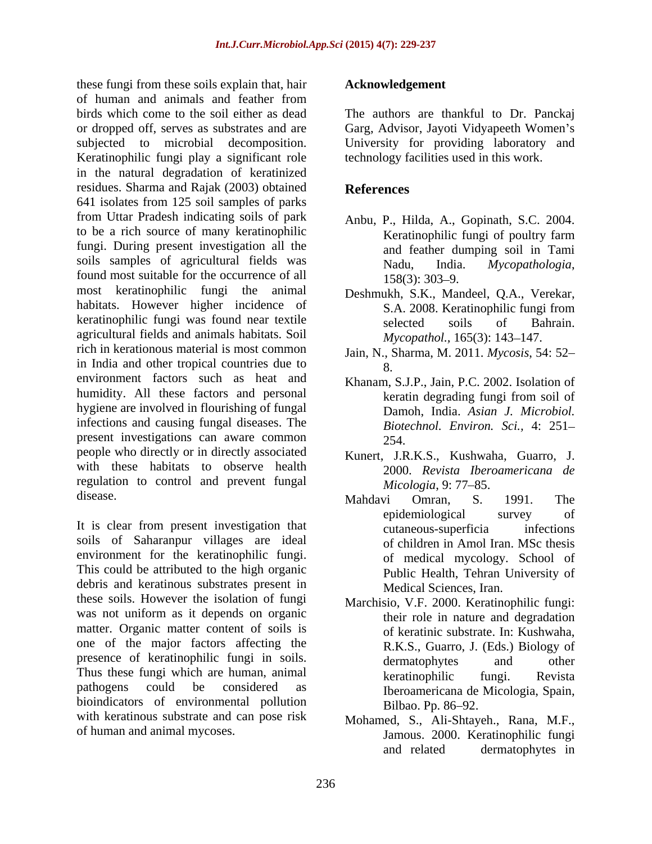these fungi from these soils explain that, hair of human and animals and feather from birds which come to the soil either as dead The authors are thankful to Dr. Panckaj or dropped off, serves as substrates and are Garg, Advisor, Jayoti Vidyapeeth Women's subjected to microbial decomposition. Keratinophilic fungi play a significant role in the natural degradation of keratinized residues. Sharma and Rajak (2003) obtained 641 isolates from 125 soil samples of parks from Uttar Pradesh indicating soils of park to be a rich source of many keratinophilic **Example 1** Keratinophilic fungi of poultry farm fungi. During present investigation all the soils samples of agricultural fields was Nadu, India. Mycopathologia, found most suitable for the occurrence of all  $158(3)$ : 303–9. most keratinophilic fungi the animal habitats. However higher incidence of S.A. 2008. Keratinophilic fungi from keratinophilic fungi was found near textile selected soils of Bahrain. agricultural fields and animals habitats. Soil rich in kerationous material is most common Jain, N., Sharma, M. 2011. *Mycosis*, 54: 52 in India and other tropical countries due to  $\frac{1}{8}$ environment factors such as heat and Khanam, S.J.P., Jain, P.C. 2002. Isolation of humidity. All these factors and personal beat a series all these factors and personal beat and the series of the series of the series of the series of the series of the series of the series of the series of the series of t hygiene are involved in flourishing of fungal infections and causing fungal diseases. The present investigations can aware common 254. people who directly or in directly associated with these habitats to observe health regulation to control and prevent fungal *Micologia*, 9: 77–85.

It is clear from present investigation that  $\frac{1}{\text{cutaneous-superficia}}$  infections soils of Saharanpur villages are ideal environment for the keratinophilic fungi. This could be attributed to the high organic debris and keratinous substrates present in these soils. However the isolation of fungi was not uniform as it depends on organic matter. Organic matter content of soils is one of the major factors affecting the presence of keratinophilic fungi in soils. dermatophytes and other Thus these fungi which are human, animal **Exercitival** keratinophilic fungi. Revista bioindicators of environmental pollution<br>Bilbao. Pp. 86–92. with keratinous substrate and can pose risk

### **Acknowledgement**

University for providing laboratory and technology facilities used in this work.

# **References**

- Anbu, P., Hilda, A., Gopinath, S.C. 2004. Keratinophilic fungi of poultry farm and feather dumping soil in Tami Nadu, India. *Mycopathologia*,<br>158(3): 303–9.
- Deshmukh, S.K., Mandeel, Q.A., Verekar, S.A. 2008. Keratinophilic fungi from selected soils of Bahrain. *Mycopathol.,* 165(3): 143-147.
- 8.
- keratin degrading fungi from soil of Damoh, India. *Asian J. Microbiol. Biotechnol. Environ. Sci.,* 4: 251 254.
- Kunert, J.R.K.S., Kushwaha, Guarro, J. 2000. *Revista Iberoamericana de Micologia, 9: 77–85.*
- disease. Mahdavi Omran S. 1991. The Mahdavi Omran, S. 1991. The epidemiological survey of cutaneous-superficia infections of children in Amol Iran. MSc thesis of medical mycology. School of Public Health, Tehran University of Medical Sciences, Iran.
- pathogens could be considered as Iberoamericana de Micologia, Spain, Marchisio, V.F. 2000. Keratinophilic fungi: their role in nature and degradation of keratinic substrate. In: Kushwaha, R.K.S., Guarro, J. (Eds.) Biology of dermatophytes and other keratinophilic fungi. Revista Bilbao. Pp. 86–92.
- of human and animal mycoses. Jamous. 2000. Keratinophilic fungi Mohamed, S., Ali-Shtayeh., Rana, M.F., and related dermatophytes in